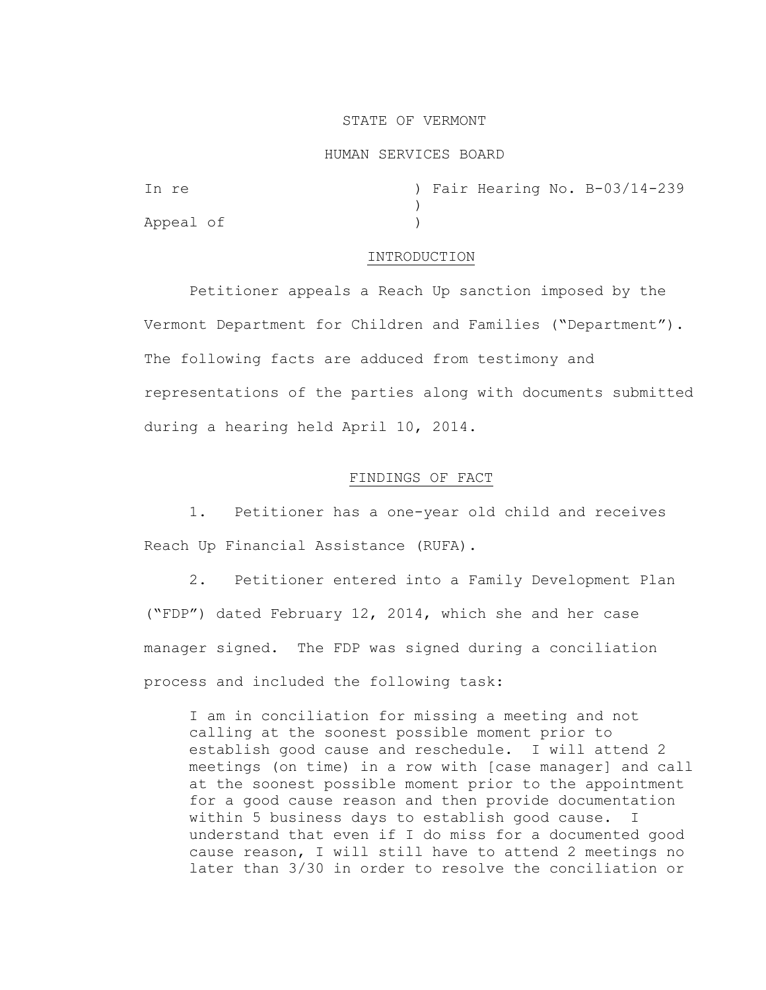#### STATE OF VERMONT

#### HUMAN SERVICES BOARD

| In re     |  |  | ) Fair Hearing No. B-03/14-239 |
|-----------|--|--|--------------------------------|
|           |  |  |                                |
| Appeal of |  |  |                                |

#### INTRODUCTION

Petitioner appeals a Reach Up sanction imposed by the Vermont Department for Children and Families ("Department"). The following facts are adduced from testimony and representations of the parties along with documents submitted during a hearing held April 10, 2014.

# FINDINGS OF FACT

1. Petitioner has a one-year old child and receives Reach Up Financial Assistance (RUFA).

2. Petitioner entered into a Family Development Plan ("FDP") dated February 12, 2014, which she and her case manager signed. The FDP was signed during a conciliation process and included the following task:

I am in conciliation for missing a meeting and not calling at the soonest possible moment prior to establish good cause and reschedule. I will attend 2 meetings (on time) in a row with [case manager] and call at the soonest possible moment prior to the appointment for a good cause reason and then provide documentation within 5 business days to establish good cause. I understand that even if I do miss for a documented good cause reason, I will still have to attend 2 meetings no later than 3/30 in order to resolve the conciliation or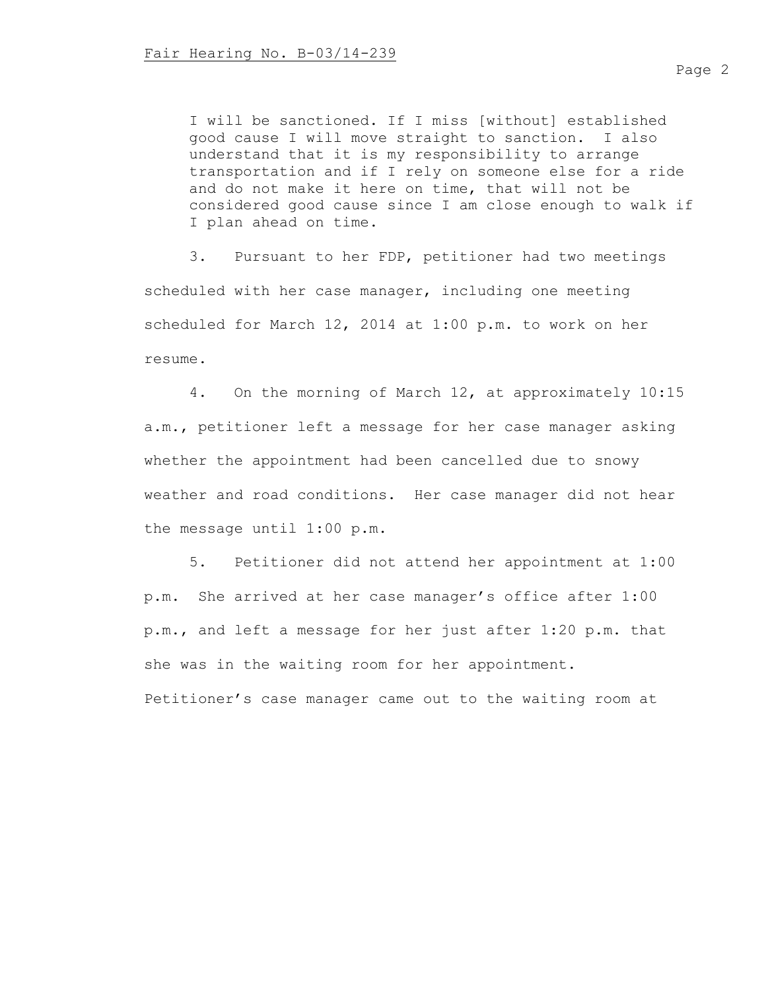I will be sanctioned. If I miss [without] established good cause I will move straight to sanction. I also understand that it is my responsibility to arrange transportation and if I rely on someone else for a ride and do not make it here on time, that will not be considered good cause since I am close enough to walk if I plan ahead on time.

3. Pursuant to her FDP, petitioner had two meetings scheduled with her case manager, including one meeting scheduled for March 12, 2014 at 1:00 p.m. to work on her resume.

4. On the morning of March 12, at approximately 10:15 a.m., petitioner left a message for her case manager asking whether the appointment had been cancelled due to snowy weather and road conditions. Her case manager did not hear the message until 1:00 p.m.

5. Petitioner did not attend her appointment at 1:00 p.m. She arrived at her case manager's office after 1:00 p.m., and left a message for her just after 1:20 p.m. that she was in the waiting room for her appointment.

Petitioner's case manager came out to the waiting room at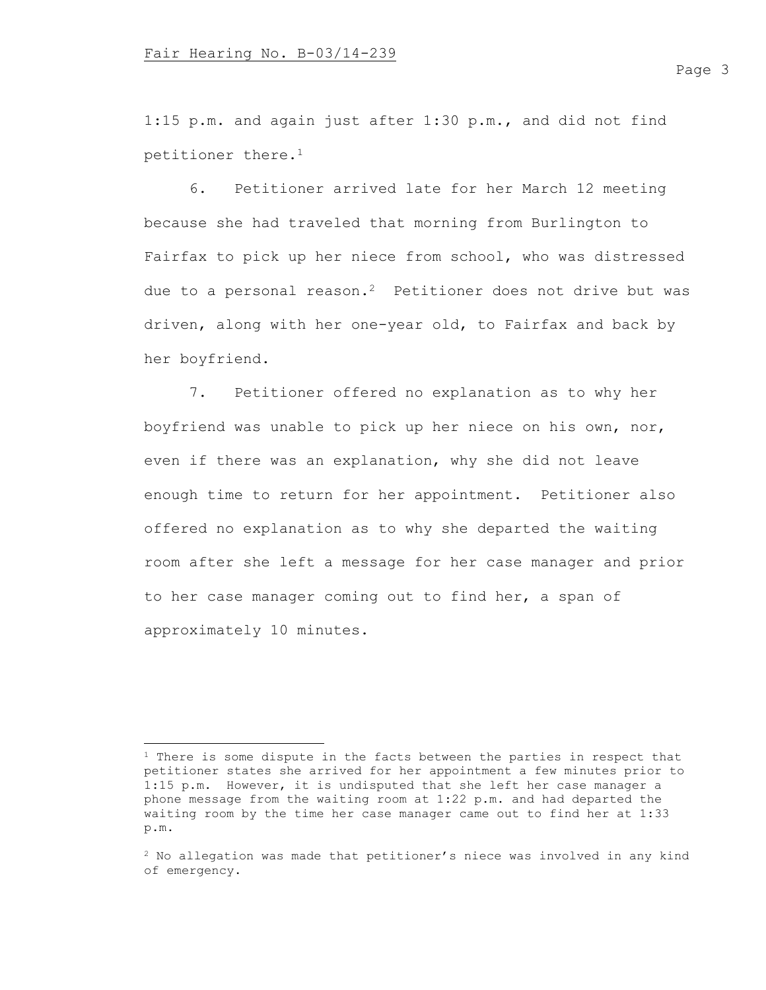1:15 p.m. and again just after 1:30 p.m., and did not find petitioner there.<sup>1</sup>

6. Petitioner arrived late for her March 12 meeting because she had traveled that morning from Burlington to Fairfax to pick up her niece from school, who was distressed due to a personal reason.<sup>2</sup> Petitioner does not drive but was driven, along with her one-year old, to Fairfax and back by her boyfriend.

7. Petitioner offered no explanation as to why her boyfriend was unable to pick up her niece on his own, nor, even if there was an explanation, why she did not leave enough time to return for her appointment. Petitioner also offered no explanation as to why she departed the waiting room after she left a message for her case manager and prior to her case manager coming out to find her, a span of approximately 10 minutes.

<sup>&</sup>lt;sup>1</sup> There is some dispute in the facts between the parties in respect that petitioner states she arrived for her appointment a few minutes prior to 1:15 p.m. However, it is undisputed that she left her case manager a phone message from the waiting room at 1:22 p.m. and had departed the waiting room by the time her case manager came out to find her at 1:33 p.m.

<sup>2</sup> No allegation was made that petitioner's niece was involved in any kind of emergency.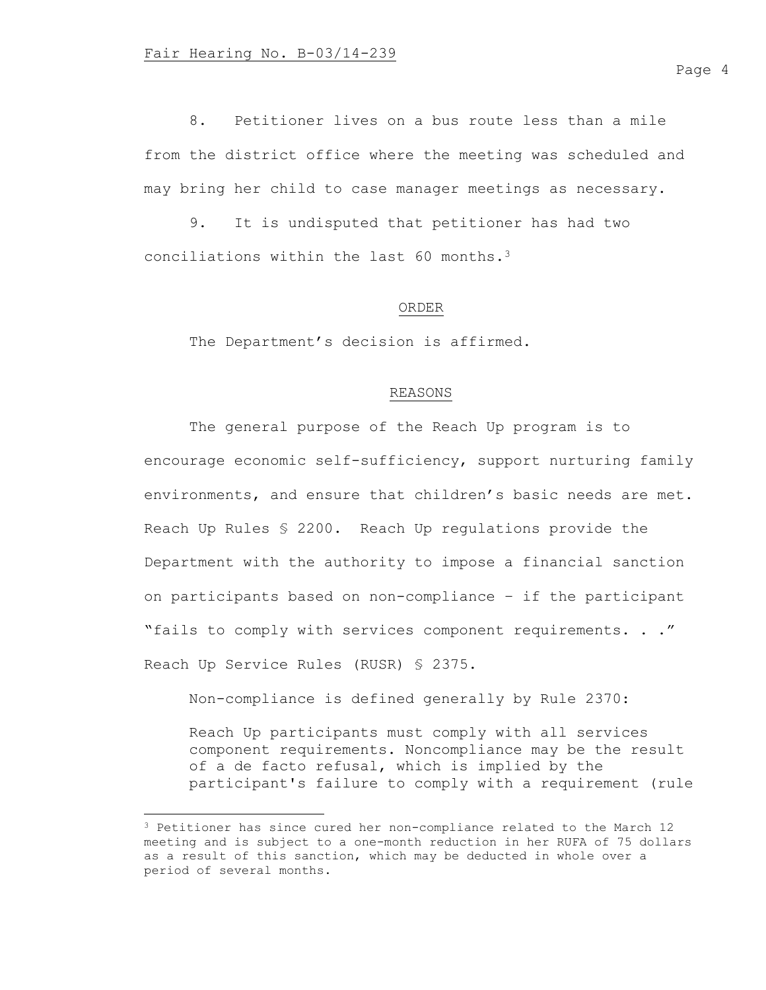8. Petitioner lives on a bus route less than a mile from the district office where the meeting was scheduled and may bring her child to case manager meetings as necessary.

9. It is undisputed that petitioner has had two conciliations within the last 60 months.<sup>3</sup>

# ORDER

The Department's decision is affirmed.

# REASONS

The general purpose of the Reach Up program is to encourage economic self-sufficiency, support nurturing family environments, and ensure that children's basic needs are met. Reach Up Rules § 2200. Reach Up regulations provide the Department with the authority to impose a financial sanction on participants based on non-compliance – if the participant "fails to comply with services component requirements. . ." Reach Up Service Rules (RUSR) § 2375.

Non-compliance is defined generally by Rule 2370:

Reach Up participants must comply with all services component requirements. Noncompliance may be the result of a de facto refusal, which is implied by the participant's failure to comply with a requirement (rule

<sup>3</sup> Petitioner has since cured her non-compliance related to the March 12 meeting and is subject to a one-month reduction in her RUFA of 75 dollars as a result of this sanction, which may be deducted in whole over a period of several months.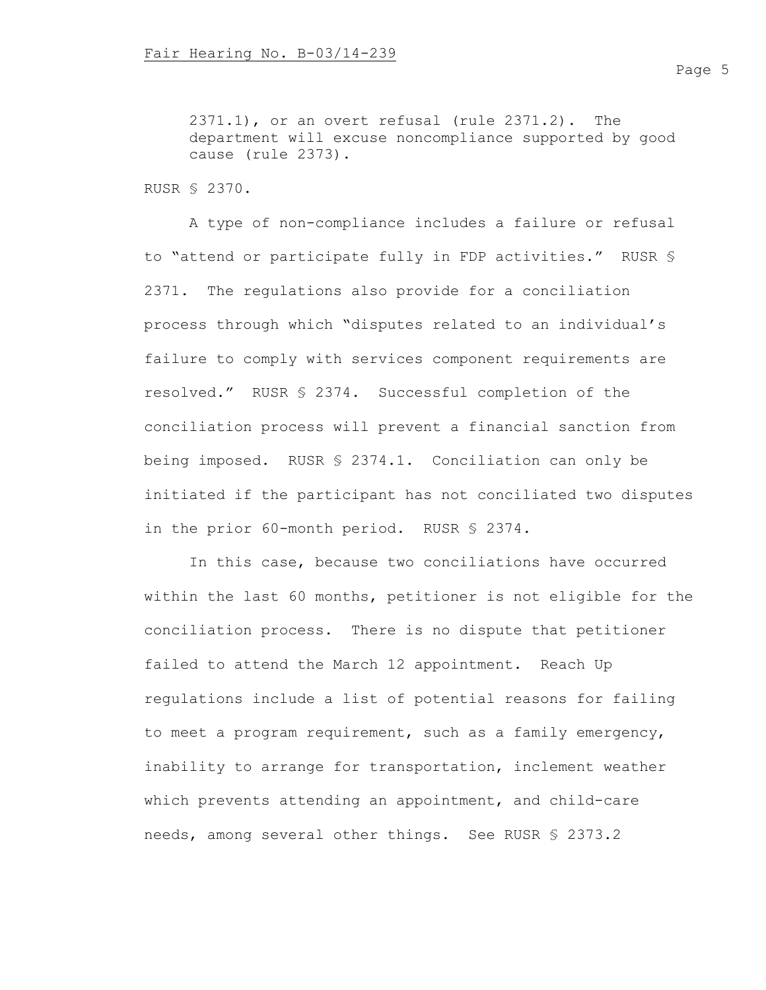2371.1), or an overt refusal (rule 2371.2). The department will excuse noncompliance supported by good cause (rule 2373).

RUSR § 2370.

A type of non-compliance includes a failure or refusal to "attend or participate fully in FDP activities." RUSR § 2371. The regulations also provide for a conciliation process through which "disputes related to an individual's failure to comply with services component requirements are resolved." RUSR § 2374. Successful completion of the conciliation process will prevent a financial sanction from being imposed. RUSR § 2374.1. Conciliation can only be initiated if the participant has not conciliated two disputes in the prior 60-month period. RUSR § 2374.

In this case, because two conciliations have occurred within the last 60 months, petitioner is not eligible for the conciliation process. There is no dispute that petitioner failed to attend the March 12 appointment. Reach Up regulations include a list of potential reasons for failing to meet a program requirement, such as a family emergency, inability to arrange for transportation, inclement weather which prevents attending an appointment, and child-care needs, among several other things. See RUSR § 2373.2